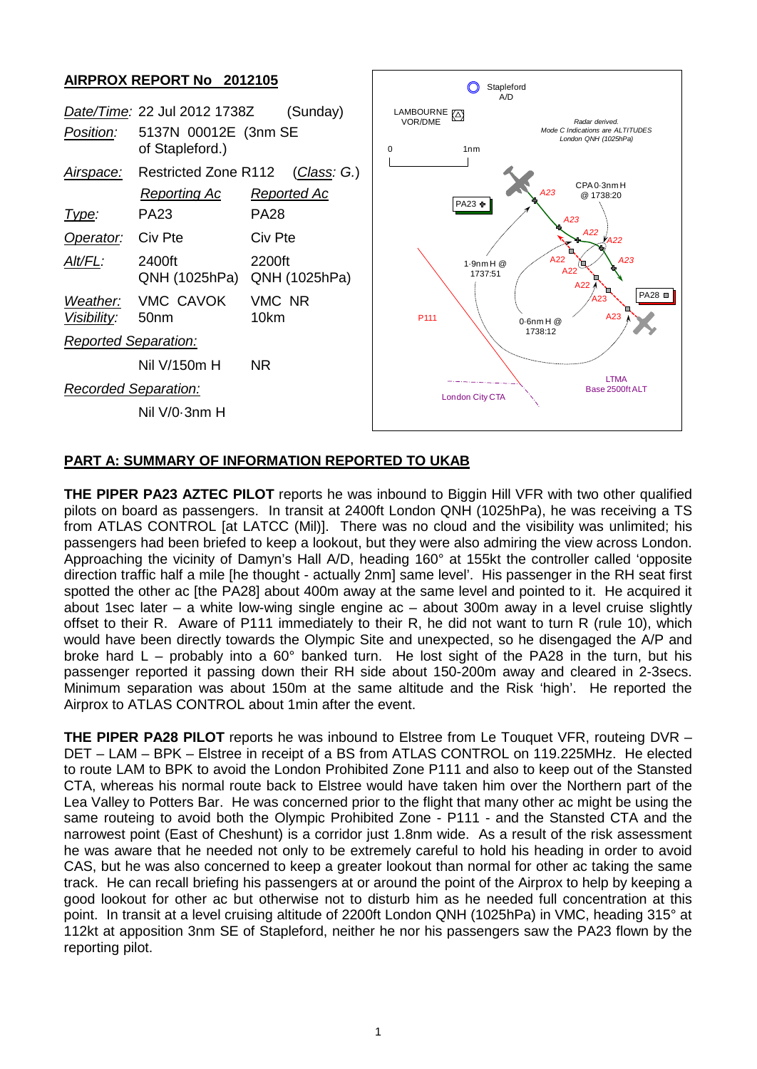## **AIRPROX REPORT No 2012105**

| .<br>------                 |                                                                                     |                            | Stapleford<br>A/D                                                                                                  |  |
|-----------------------------|-------------------------------------------------------------------------------------|----------------------------|--------------------------------------------------------------------------------------------------------------------|--|
| Position:                   | Date/Time: 22 Jul 2012 1738Z<br>(Sunday)<br>5137N 00012E (3nm SE<br>of Stapleford.) |                            | LAMBOURNE (A)<br>VOR/DME<br>Radar derived.<br>Mode C Indications are ALTITUDES<br>London QNH (1025hPa)<br>1nm<br>0 |  |
| Airspace:                   | <b>Restricted Zone R112</b><br>Reporting Ac                                         | (Class: G.)<br>Reported Ac | CPA 0-3nm H<br>A23<br>@ 1738:20<br>PA23 ÷                                                                          |  |
| <u>Type:</u>                | <b>PA23</b>                                                                         | <b>PA28</b>                | A23                                                                                                                |  |
| Operator:                   | Civ Pte                                                                             | Civ Pte                    | A22<br>$V$ A22                                                                                                     |  |
| Alt/FL:                     | 2400ft<br>QNH (1025hPa)                                                             | 2200ft<br>QNH (1025hPa)    | A22<br>A23<br>$1.9$ nm H $@$<br>A22<br>1737:51<br>A22                                                              |  |
| Weather:<br>Visibility:     | VMC CAVOK<br>50 <sub>nm</sub>                                                       | VMC NR<br>10km             | PA28 <b>■</b><br>A23<br>A23<br>P <sub>111</sub><br>$0.6$ nm H $@$                                                  |  |
| <b>Reported Separation:</b> |                                                                                     |                            | 1738:12                                                                                                            |  |
|                             | Nil V/150m H                                                                        | NR.                        |                                                                                                                    |  |
| <b>Recorded Separation:</b> |                                                                                     |                            | <b>LTMA</b><br>Base 2500ft ALT<br><b>London City CTA</b>                                                           |  |
|                             | Nil V/0-3nm H                                                                       |                            |                                                                                                                    |  |
|                             |                                                                                     |                            |                                                                                                                    |  |

## **PART A: SUMMARY OF INFORMATION REPORTED TO UKAB**

**THE PIPER PA23 AZTEC PILOT** reports he was inbound to Biggin Hill VFR with two other qualified pilots on board as passengers. In transit at 2400ft London QNH (1025hPa), he was receiving a TS from ATLAS CONTROL [at LATCC (Mil)]. There was no cloud and the visibility was unlimited; his passengers had been briefed to keep a lookout, but they were also admiring the view across London. Approaching the vicinity of Damyn's Hall A/D, heading 160° at 155kt the controller called 'opposite direction traffic half a mile [he thought - actually 2nm] same level'. His passenger in the RH seat first spotted the other ac [the PA28] about 400m away at the same level and pointed to it. He acquired it about 1sec later – a white low-wing single engine ac – about 300m away in a level cruise slightly offset to their R. Aware of P111 immediately to their R, he did not want to turn R (rule 10), which would have been directly towards the Olympic Site and unexpected, so he disengaged the A/P and broke hard  $L$  – probably into a 60° banked turn. He lost sight of the PA28 in the turn, but his passenger reported it passing down their RH side about 150-200m away and cleared in 2-3secs. Minimum separation was about 150m at the same altitude and the Risk 'high'. He reported the Airprox to ATLAS CONTROL about 1min after the event.

**THE PIPER PA28 PILOT** reports he was inbound to Elstree from Le Touquet VFR, routeing DVR – DET – LAM – BPK – Elstree in receipt of a BS from ATLAS CONTROL on 119.225MHz. He elected to route LAM to BPK to avoid the London Prohibited Zone P111 and also to keep out of the Stansted CTA, whereas his normal route back to Elstree would have taken him over the Northern part of the Lea Valley to Potters Bar. He was concerned prior to the flight that many other ac might be using the same routeing to avoid both the Olympic Prohibited Zone - P111 - and the Stansted CTA and the narrowest point (East of Cheshunt) is a corridor just 1.8nm wide. As a result of the risk assessment he was aware that he needed not only to be extremely careful to hold his heading in order to avoid CAS, but he was also concerned to keep a greater lookout than normal for other ac taking the same track. He can recall briefing his passengers at or around the point of the Airprox to help by keeping a good lookout for other ac but otherwise not to disturb him as he needed full concentration at this point. In transit at a level cruising altitude of 2200ft London QNH (1025hPa) in VMC, heading 315° at 112kt at apposition 3nm SE of Stapleford, neither he nor his passengers saw the PA23 flown by the reporting pilot.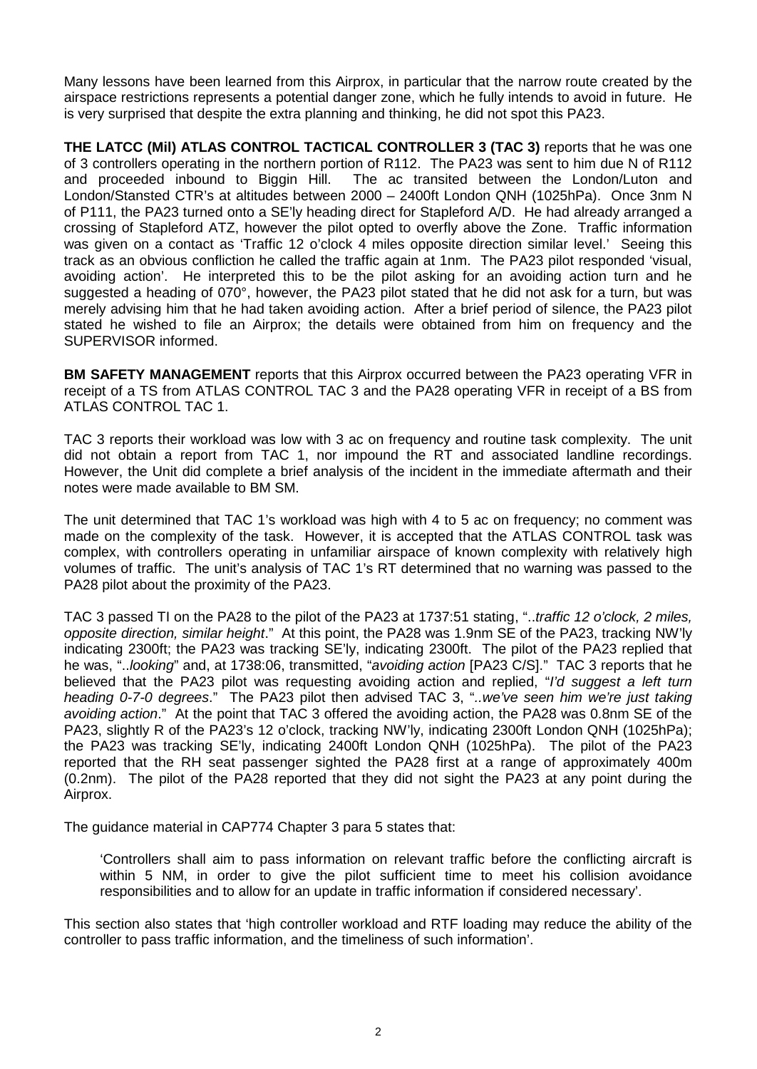Many lessons have been learned from this Airprox, in particular that the narrow route created by the airspace restrictions represents a potential danger zone, which he fully intends to avoid in future. He is very surprised that despite the extra planning and thinking, he did not spot this PA23.

**THE LATCC (Mil) ATLAS CONTROL TACTICAL CONTROLLER 3 (TAC 3)** reports that he was one of 3 controllers operating in the northern portion of R112. The PA23 was sent to him due N of R112 and proceeded inbound to Biggin Hill. The ac transited between the London/Luton and London/Stansted CTR's at altitudes between 2000 – 2400ft London QNH (1025hPa). Once 3nm N of P111, the PA23 turned onto a SE'ly heading direct for Stapleford A/D. He had already arranged a crossing of Stapleford ATZ, however the pilot opted to overfly above the Zone. Traffic information was given on a contact as 'Traffic 12 o'clock 4 miles opposite direction similar level.' Seeing this track as an obvious confliction he called the traffic again at 1nm. The PA23 pilot responded 'visual, avoiding action'. He interpreted this to be the pilot asking for an avoiding action turn and he suggested a heading of 070°, however, the PA23 pilot stated that he did not ask for a turn, but was merely advising him that he had taken avoiding action. After a brief period of silence, the PA23 pilot stated he wished to file an Airprox; the details were obtained from him on frequency and the SUPERVISOR informed.

**BM SAFETY MANAGEMENT** reports that this Airprox occurred between the PA23 operating VFR in receipt of a TS from ATLAS CONTROL TAC 3 and the PA28 operating VFR in receipt of a BS from ATLAS CONTROL TAC 1.

TAC 3 reports their workload was low with 3 ac on frequency and routine task complexity. The unit did not obtain a report from TAC 1, nor impound the RT and associated landline recordings. However, the Unit did complete a brief analysis of the incident in the immediate aftermath and their notes were made available to BM SM.

The unit determined that TAC 1's workload was high with 4 to 5 ac on frequency; no comment was made on the complexity of the task. However, it is accepted that the ATLAS CONTROL task was complex, with controllers operating in unfamiliar airspace of known complexity with relatively high volumes of traffic. The unit's analysis of TAC 1's RT determined that no warning was passed to the PA28 pilot about the proximity of the PA23.

TAC 3 passed TI on the PA28 to the pilot of the PA23 at 1737:51 stating, "..*traffic 12 o'clock, 2 miles, opposite direction, similar height*." At this point, the PA28 was 1.9nm SE of the PA23, tracking NW'ly indicating 2300ft; the PA23 was tracking SE'ly, indicating 2300ft. The pilot of the PA23 replied that he was, "..*looking*" and, at 1738:06, transmitted, "*avoiding action* [PA23 C/S]." TAC 3 reports that he believed that the PA23 pilot was requesting avoiding action and replied, "*I'd suggest a left turn heading 0-7-0 degrees*." The PA23 pilot then advised TAC 3, "*..we've seen him we're just taking avoiding action*." At the point that TAC 3 offered the avoiding action, the PA28 was 0.8nm SE of the PA23, slightly R of the PA23's 12 o'clock, tracking NW'ly, indicating 2300ft London QNH (1025hPa); the PA23 was tracking SE'ly, indicating 2400ft London QNH (1025hPa). The pilot of the PA23 reported that the RH seat passenger sighted the PA28 first at a range of approximately 400m (0.2nm). The pilot of the PA28 reported that they did not sight the PA23 at any point during the Airprox.

The guidance material in CAP774 Chapter 3 para 5 states that:

'Controllers shall aim to pass information on relevant traffic before the conflicting aircraft is within 5 NM, in order to give the pilot sufficient time to meet his collision avoidance responsibilities and to allow for an update in traffic information if considered necessary'.

This section also states that 'high controller workload and RTF loading may reduce the ability of the controller to pass traffic information, and the timeliness of such information'.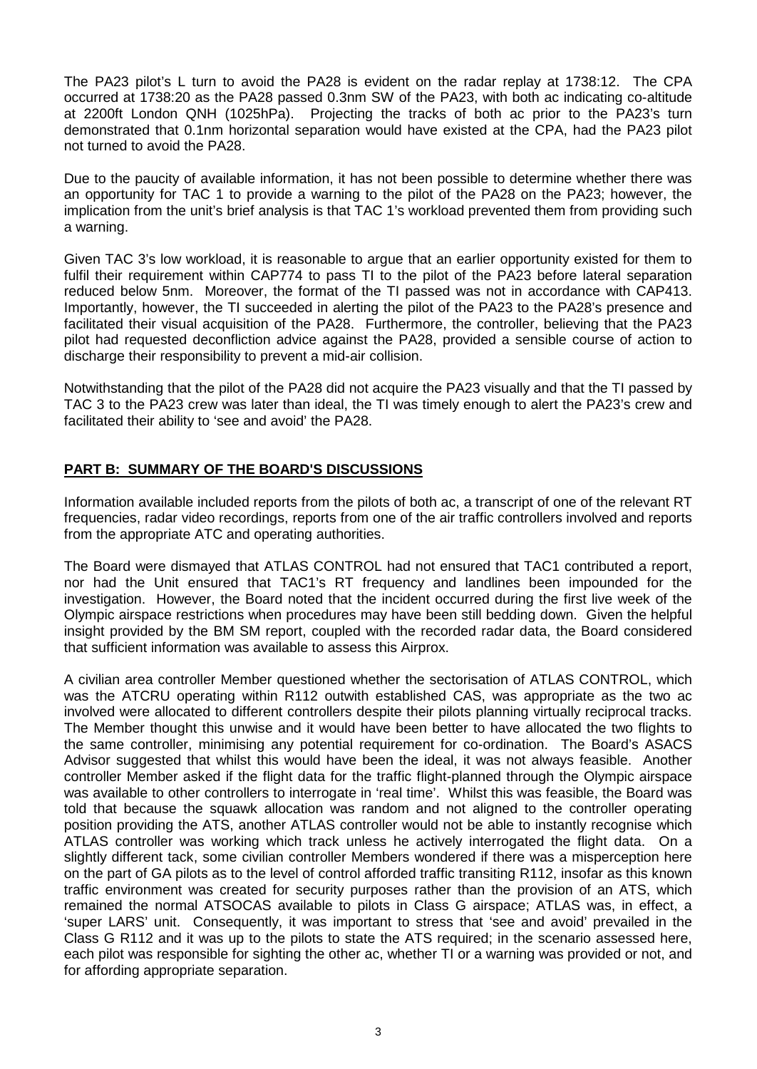The PA23 pilot's L turn to avoid the PA28 is evident on the radar replay at 1738:12. The CPA occurred at 1738:20 as the PA28 passed 0.3nm SW of the PA23, with both ac indicating co-altitude at 2200ft London QNH (1025hPa). Projecting the tracks of both ac prior to the PA23's turn demonstrated that 0.1nm horizontal separation would have existed at the CPA, had the PA23 pilot not turned to avoid the PA28.

Due to the paucity of available information, it has not been possible to determine whether there was an opportunity for TAC 1 to provide a warning to the pilot of the PA28 on the PA23; however, the implication from the unit's brief analysis is that TAC 1's workload prevented them from providing such a warning.

Given TAC 3's low workload, it is reasonable to argue that an earlier opportunity existed for them to fulfil their requirement within CAP774 to pass TI to the pilot of the PA23 before lateral separation reduced below 5nm. Moreover, the format of the TI passed was not in accordance with CAP413. Importantly, however, the TI succeeded in alerting the pilot of the PA23 to the PA28's presence and facilitated their visual acquisition of the PA28. Furthermore, the controller, believing that the PA23 pilot had requested deconfliction advice against the PA28, provided a sensible course of action to discharge their responsibility to prevent a mid-air collision.

Notwithstanding that the pilot of the PA28 did not acquire the PA23 visually and that the TI passed by TAC 3 to the PA23 crew was later than ideal, the TI was timely enough to alert the PA23's crew and facilitated their ability to 'see and avoid' the PA28.

## **PART B: SUMMARY OF THE BOARD'S DISCUSSIONS**

Information available included reports from the pilots of both ac, a transcript of one of the relevant RT frequencies, radar video recordings, reports from one of the air traffic controllers involved and reports from the appropriate ATC and operating authorities.

The Board were dismayed that ATLAS CONTROL had not ensured that TAC1 contributed a report, nor had the Unit ensured that TAC1's RT frequency and landlines been impounded for the investigation. However, the Board noted that the incident occurred during the first live week of the Olympic airspace restrictions when procedures may have been still bedding down. Given the helpful insight provided by the BM SM report, coupled with the recorded radar data, the Board considered that sufficient information was available to assess this Airprox.

A civilian area controller Member questioned whether the sectorisation of ATLAS CONTROL, which was the ATCRU operating within R112 outwith established CAS, was appropriate as the two ac involved were allocated to different controllers despite their pilots planning virtually reciprocal tracks. The Member thought this unwise and it would have been better to have allocated the two flights to the same controller, minimising any potential requirement for co-ordination. The Board's ASACS Advisor suggested that whilst this would have been the ideal, it was not always feasible. Another controller Member asked if the flight data for the traffic flight-planned through the Olympic airspace was available to other controllers to interrogate in 'real time'. Whilst this was feasible, the Board was told that because the squawk allocation was random and not aligned to the controller operating position providing the ATS, another ATLAS controller would not be able to instantly recognise which ATLAS controller was working which track unless he actively interrogated the flight data. On a slightly different tack, some civilian controller Members wondered if there was a misperception here on the part of GA pilots as to the level of control afforded traffic transiting R112, insofar as this known traffic environment was created for security purposes rather than the provision of an ATS, which remained the normal ATSOCAS available to pilots in Class G airspace; ATLAS was, in effect, a 'super LARS' unit. Consequently, it was important to stress that 'see and avoid' prevailed in the Class G R112 and it was up to the pilots to state the ATS required; in the scenario assessed here, each pilot was responsible for sighting the other ac, whether TI or a warning was provided or not, and for affording appropriate separation.